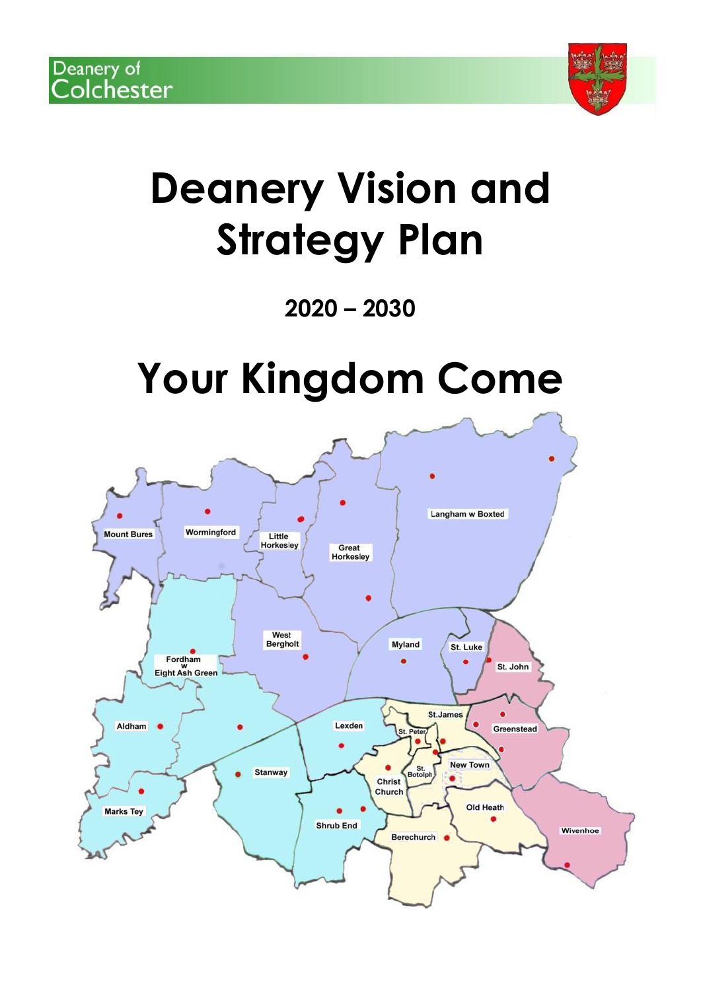

# **Deanery Vision and Strategy Plan**

## **2020 – 2030**

## **Your Kingdom Come**

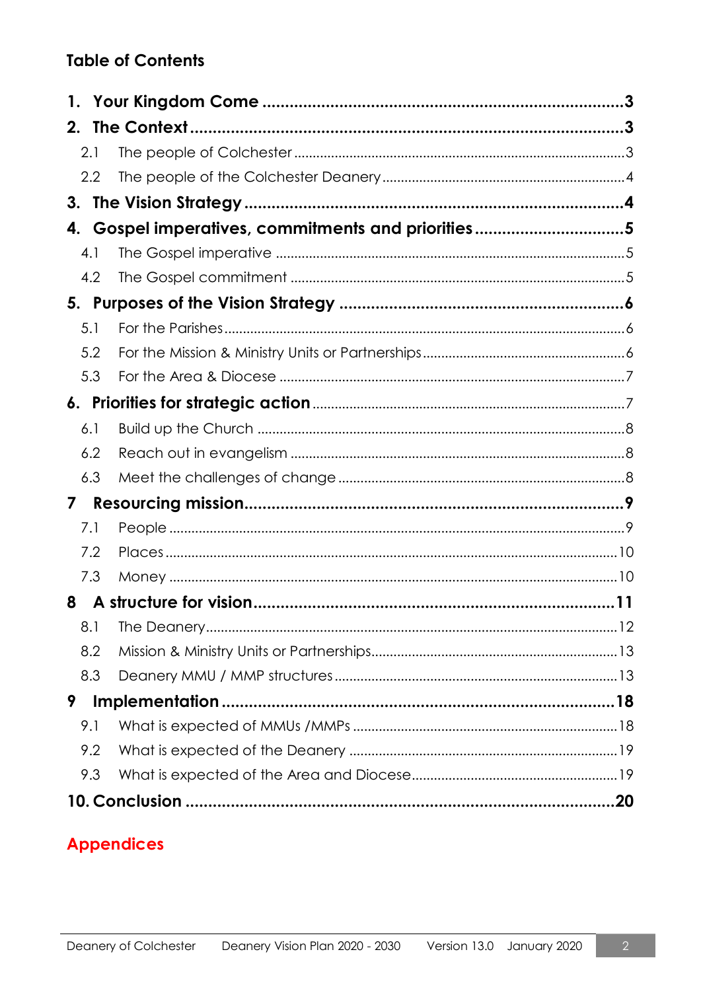## **Table of Contents**

| 1. |     |                                                 |  |
|----|-----|-------------------------------------------------|--|
| 2. |     |                                                 |  |
|    | 2.1 |                                                 |  |
|    | 2.2 |                                                 |  |
| 3. |     |                                                 |  |
| 4. |     | Gospel imperatives, commitments and priorities5 |  |
|    | 4.1 |                                                 |  |
|    | 4.2 |                                                 |  |
|    |     |                                                 |  |
|    | 5.1 |                                                 |  |
|    | 5.2 |                                                 |  |
|    | 5.3 |                                                 |  |
|    |     |                                                 |  |
|    | 6.1 |                                                 |  |
|    | 6.2 |                                                 |  |
|    | 6.3 |                                                 |  |
| 7  |     |                                                 |  |
|    | 7.1 |                                                 |  |
|    | 7.2 |                                                 |  |
|    | 7.3 |                                                 |  |
| 8  |     |                                                 |  |
|    | 8.1 |                                                 |  |
|    | 8.2 |                                                 |  |
|    | 8.3 |                                                 |  |
| 9  |     |                                                 |  |
|    | 9.1 |                                                 |  |
|    | 9.2 |                                                 |  |
|    | 9.3 |                                                 |  |
|    | .20 |                                                 |  |

## **Appendices**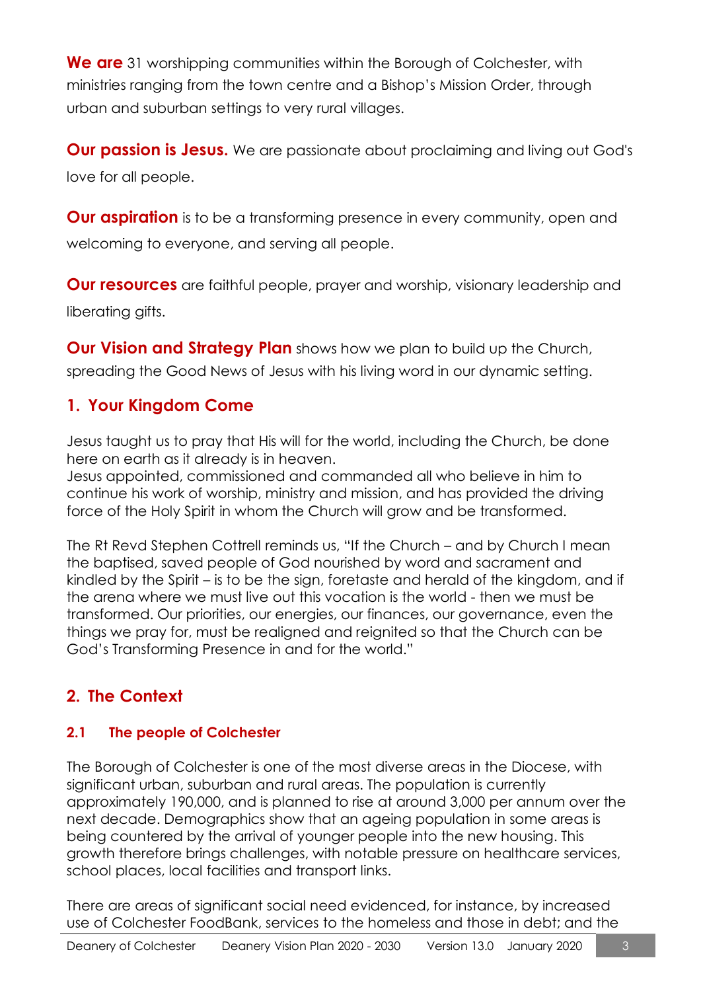**We are** 31 worshipping communities within the Borough of Colchester, with ministries ranging from the town centre and a Bishop's Mission Order, through urban and suburban settings to very rural villages.

**Our passion is Jesus.** We are passionate about proclaiming and living out God's love for all people.

**Our aspiration** is to be a transforming presence in every community, open and welcoming to everyone, and serving all people.

**Our resources** are faithful people, prayer and worship, visionary leadership and liberating gifts.

**Our Vision and Strategy Plan** shows how we plan to build up the Church, spreading the Good News of Jesus with his living word in our dynamic setting.

## <span id="page-2-0"></span>**1. Your Kingdom Come**

Jesus taught us to pray that His will for the world, including the Church, be done here on earth as it already is in heaven.

Jesus appointed, commissioned and commanded all who believe in him to continue his work of worship, ministry and mission, and has provided the driving force of the Holy Spirit in whom the Church will grow and be transformed.

The Rt Revd Stephen Cottrell reminds us, "If the Church – and by Church I mean the baptised, saved people of God nourished by word and sacrament and kindled by the Spirit – is to be the sign, foretaste and herald of the kingdom, and if the arena where we must live out this vocation is the world - then we must be transformed. Our priorities, our energies, our finances, our governance, even the things we pray for, must be realigned and reignited so that the Church can be God's Transforming Presence in and for the world."

## <span id="page-2-1"></span>**2. The Context**

#### <span id="page-2-2"></span>**2.1 The people of Colchester**

The Borough of Colchester is one of the most diverse areas in the Diocese, with significant urban, suburban and rural areas. The population is currently approximately 190,000, and is planned to rise at around 3,000 per annum over the next decade. Demographics show that an ageing population in some areas is being countered by the arrival of younger people into the new housing. This growth therefore brings challenges, with notable pressure on healthcare services, school places, local facilities and transport links.

There are areas of significant social need evidenced, for instance, by increased use of Colchester FoodBank, services to the homeless and those in debt; and the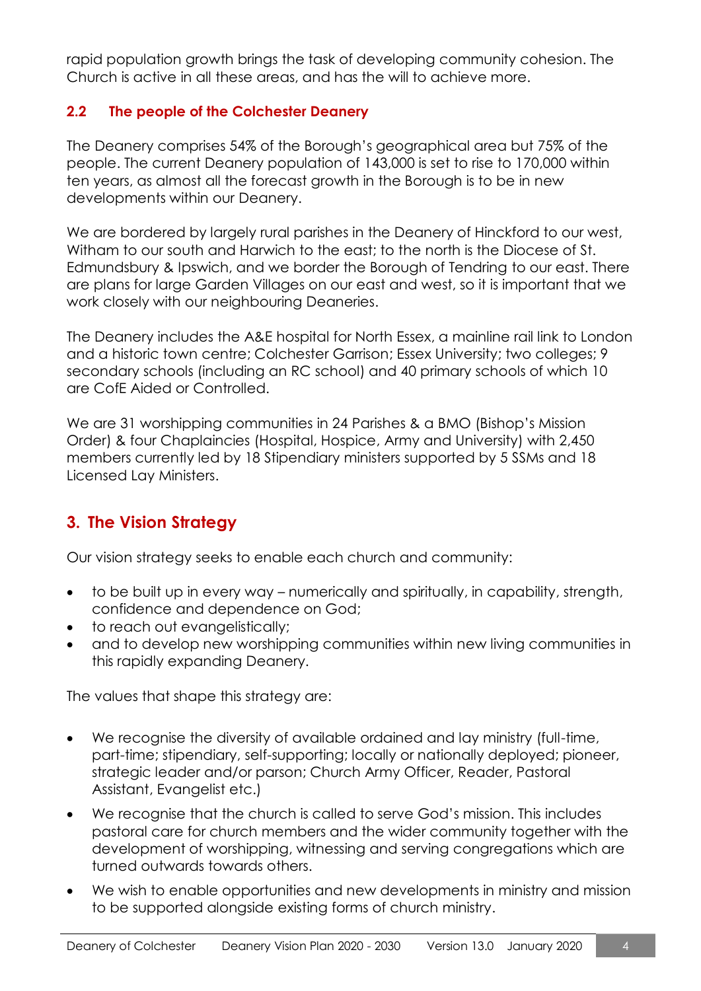rapid population growth brings the task of developing community cohesion. The Church is active in all these areas, and has the will to achieve more.

#### <span id="page-3-0"></span>**2.2 The people of the Colchester Deanery**

The Deanery comprises 54% of the Borough's geographical area but 75% of the people. The current Deanery population of 143,000 is set to rise to 170,000 within ten years, as almost all the forecast growth in the Borough is to be in new developments within our Deanery.

We are bordered by largely rural parishes in the Deanery of Hinckford to our west, Witham to our south and Harwich to the east; to the north is the Diocese of St. Edmundsbury & Ipswich, and we border the Borough of Tendring to our east. There are plans for large Garden Villages on our east and west, so it is important that we work closely with our neighbouring Deaneries.

The Deanery includes the A&E hospital for North Essex, a mainline rail link to London and a historic town centre; Colchester Garrison; Essex University; two colleges; 9 secondary schools (including an RC school) and 40 primary schools of which 10 are CofE Aided or Controlled.

We are 31 worshipping communities in 24 Parishes & a BMO (Bishop's Mission Order) & four Chaplaincies (Hospital, Hospice, Army and University) with 2,450 members currently led by 18 Stipendiary ministers supported by 5 SSMs and 18 Licensed Lay Ministers.

## <span id="page-3-1"></span>**3. The Vision Strategy**

Our vision strategy seeks to enable each church and community:

- to be built up in every way numerically and spiritually, in capability, strength, confidence and dependence on God;
- to reach out evangelistically:
- and to develop new worshipping communities within new living communities in this rapidly expanding Deanery.

The values that shape this strategy are:

- We recognise the diversity of available ordained and lay ministry (full-time, part-time; stipendiary, self-supporting; locally or nationally deployed; pioneer, strategic leader and/or parson; Church Army Officer, Reader, Pastoral Assistant, Evangelist etc.)
- We recognise that the church is called to serve God's mission. This includes pastoral care for church members and the wider community together with the development of worshipping, witnessing and serving congregations which are turned outwards towards others.
- We wish to enable opportunities and new developments in ministry and mission to be supported alongside existing forms of church ministry.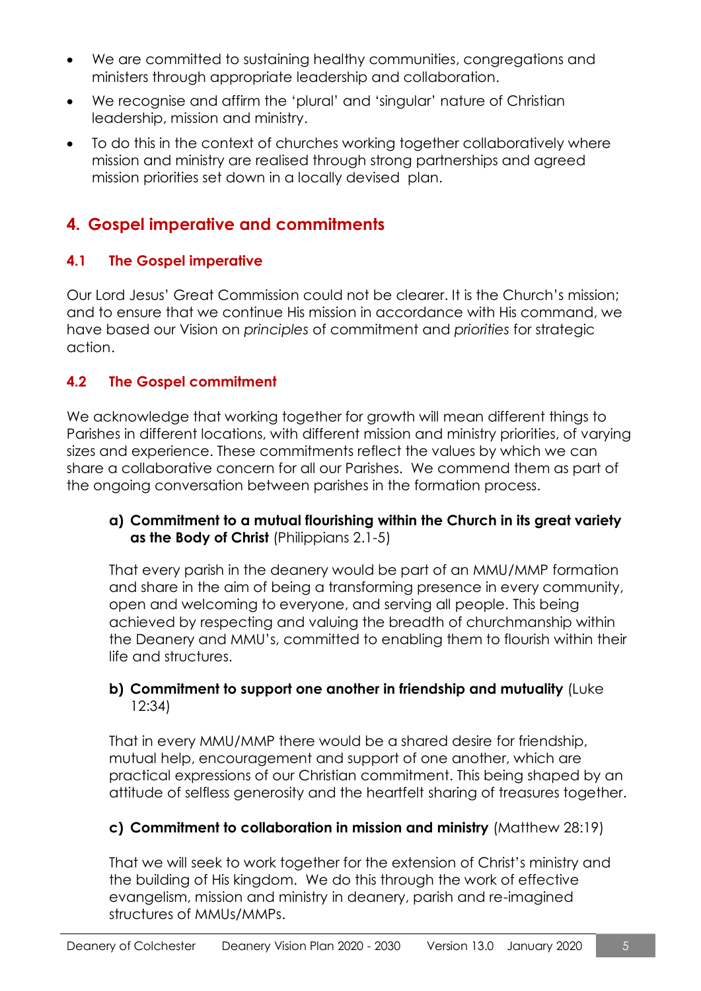- We are committed to sustaining healthy communities, congregations and ministers through appropriate leadership and collaboration.
- We recognise and affirm the 'plural' and 'singular' nature of Christian leadership, mission and ministry.
- To do this in the context of churches working together collaboratively where mission and ministry are realised through strong partnerships and agreed mission priorities set down in a locally devised plan.

## <span id="page-4-0"></span>**4. Gospel imperative and commitments**

#### <span id="page-4-1"></span>**4.1 The Gospel imperative**

Our Lord Jesus' Great Commission could not be clearer. It is the Church's mission; and to ensure that we continue His mission in accordance with His command, we have based our Vision on *principles* of commitment and *priorities* for strategic action.

#### <span id="page-4-2"></span>**4.2 The Gospel commitment**

We acknowledge that working together for growth will mean different things to Parishes in different locations, with different mission and ministry priorities, of varying sizes and experience. These commitments reflect the values by which we can share a collaborative concern for all our Parishes. We commend them as part of the ongoing conversation between parishes in the formation process.

#### **a) Commitment to a mutual flourishing within the Church in its great variety as the Body of Christ** (Philippians 2.1-5)

That every parish in the deanery would be part of an MMU/MMP formation and share in the aim of being a transforming presence in every community, open and welcoming to everyone, and serving all people. This being achieved by respecting and valuing the breadth of churchmanship within the Deanery and MMU's, committed to enabling them to flourish within their life and structures.

#### **b) Commitment to support one another in friendship and mutuality** (Luke 12:34)

That in every MMU/MMP there would be a shared desire for friendship, mutual help, encouragement and support of one another, which are practical expressions of our Christian commitment. This being shaped by an attitude of selfless generosity and the heartfelt sharing of treasures together.

#### **c) Commitment to collaboration in mission and ministry** (Matthew 28:19)

That we will seek to work together for the extension of Christ's ministry and the building of His kingdom. We do this through the work of effective evangelism, mission and ministry in deanery, parish and re-imagined structures of MMUs/MMPs.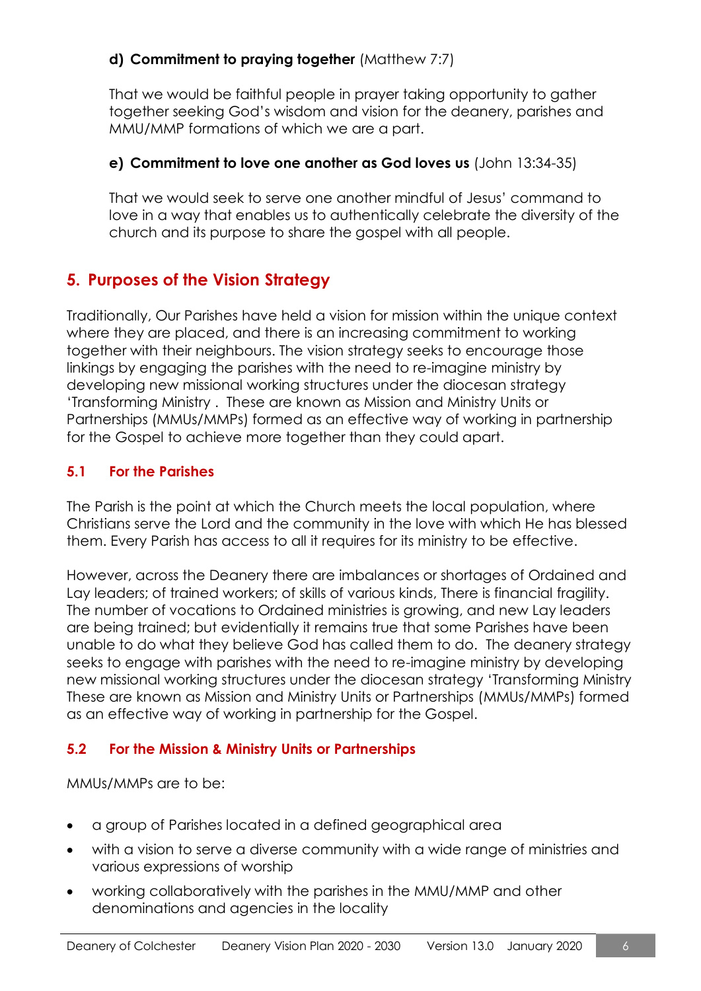#### **d) Commitment to praying together** (Matthew 7:7)

That we would be faithful people in prayer taking opportunity to gather together seeking God's wisdom and vision for the deanery, parishes and MMU/MMP formations of which we are a part.

#### **e) Commitment to love one another as God loves us** (John 13:34-35)

That we would seek to serve one another mindful of Jesus' command to love in a way that enables us to authentically celebrate the diversity of the church and its purpose to share the gospel with all people.

## <span id="page-5-0"></span>**5. Purposes of the Vision Strategy**

Traditionally, Our Parishes have held a vision for mission within the unique context where they are placed, and there is an increasing commitment to working together with their neighbours. The vision strategy seeks to encourage those linkings by engaging the parishes with the need to re-imagine ministry by developing new missional working structures under the diocesan strategy 'Transforming Ministry . These are known as Mission and Ministry Units or Partnerships (MMUs/MMPs) formed as an effective way of working in partnership for the Gospel to achieve more together than they could apart.

#### <span id="page-5-1"></span>**5.1 For the Parishes**

The Parish is the point at which the Church meets the local population, where Christians serve the Lord and the community in the love with which He has blessed them. Every Parish has access to all it requires for its ministry to be effective.

However, across the Deanery there are imbalances or shortages of Ordained and Lay leaders; of trained workers; of skills of various kinds, There is financial fragility. The number of vocations to Ordained ministries is growing, and new Lay leaders are being trained; but evidentially it remains true that some Parishes have been unable to do what they believe God has called them to do. The deanery strategy seeks to engage with parishes with the need to re-imagine ministry by developing new missional working structures under the diocesan strategy 'Transforming Ministry These are known as Mission and Ministry Units or Partnerships (MMUs/MMPs) formed as an effective way of working in partnership for the Gospel.

#### <span id="page-5-2"></span>**5.2 For the Mission & Ministry Units or Partnerships**

MMUs/MMPs are to be:

- a group of Parishes located in a defined geographical area
- with a vision to serve a diverse community with a wide range of ministries and various expressions of worship
- working collaboratively with the parishes in the MMU/MMP and other denominations and agencies in the locality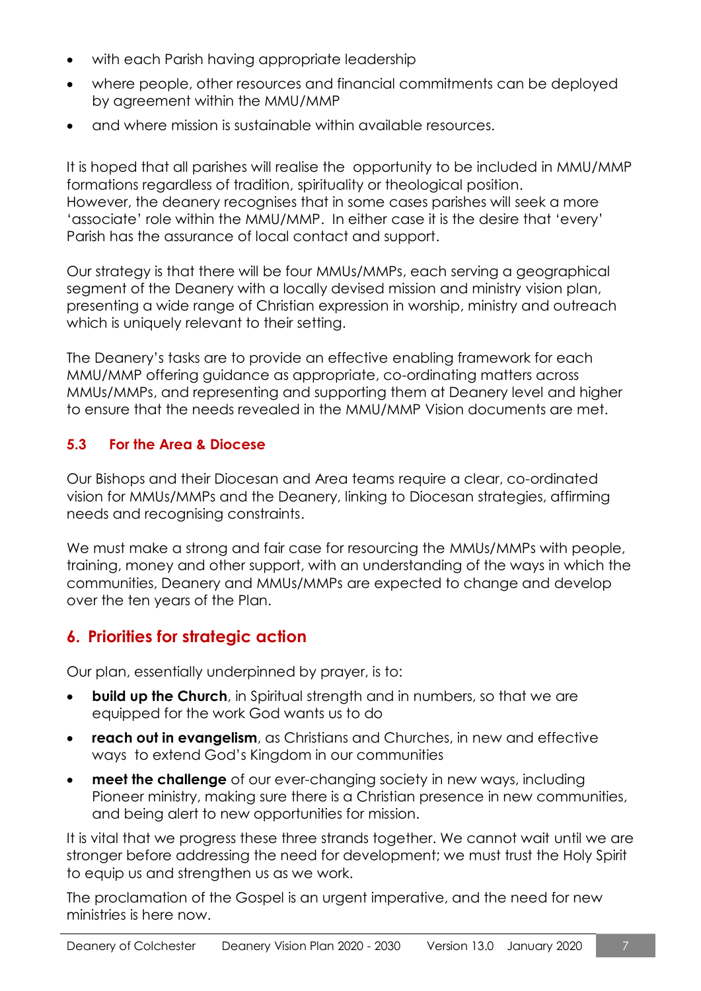- with each Parish having appropriate leadership
- where people, other resources and financial commitments can be deployed by agreement within the MMU/MMP
- and where mission is sustainable within available resources.

It is hoped that all parishes will realise the opportunity to be included in MMU/MMP formations regardless of tradition, spirituality or theological position. However, the deanery recognises that in some cases parishes will seek a more 'associate' role within the MMU/MMP. In either case it is the desire that 'every' Parish has the assurance of local contact and support.

Our strategy is that there will be four MMUs/MMPs, each serving a geographical segment of the Deanery with a locally devised mission and ministry vision plan, presenting a wide range of Christian expression in worship, ministry and outreach which is uniquely relevant to their setting.

The Deanery's tasks are to provide an effective enabling framework for each MMU/MMP offering guidance as appropriate, co-ordinating matters across MMUs/MMPs, and representing and supporting them at Deanery level and higher to ensure that the needs revealed in the MMU/MMP Vision documents are met.

### <span id="page-6-0"></span>**5.3 For the Area & Diocese**

Our Bishops and their Diocesan and Area teams require a clear, co-ordinated vision for MMUs/MMPs and the Deanery, linking to Diocesan strategies, affirming needs and recognising constraints.

We must make a strong and fair case for resourcing the MMUs/MMPs with people, training, money and other support, with an understanding of the ways in which the communities, Deanery and MMUs/MMPs are expected to change and develop over the ten years of the Plan.

## <span id="page-6-1"></span>**6. Priorities for strategic action**

Our plan, essentially underpinned by prayer, is to:

- **build up the Church**, in Spiritual strength and in numbers, so that we are equipped for the work God wants us to do
- **reach out in evangelism**, as Christians and Churches, in new and effective ways to extend God's Kingdom in our communities
- **meet the challenge** of our ever-changing society in new ways, including Pioneer ministry, making sure there is a Christian presence in new communities, and being alert to new opportunities for mission.

It is vital that we progress these three strands together. We cannot wait until we are stronger before addressing the need for development; we must trust the Holy Spirit to equip us and strengthen us as we work.

The proclamation of the Gospel is an urgent imperative, and the need for new ministries is here now.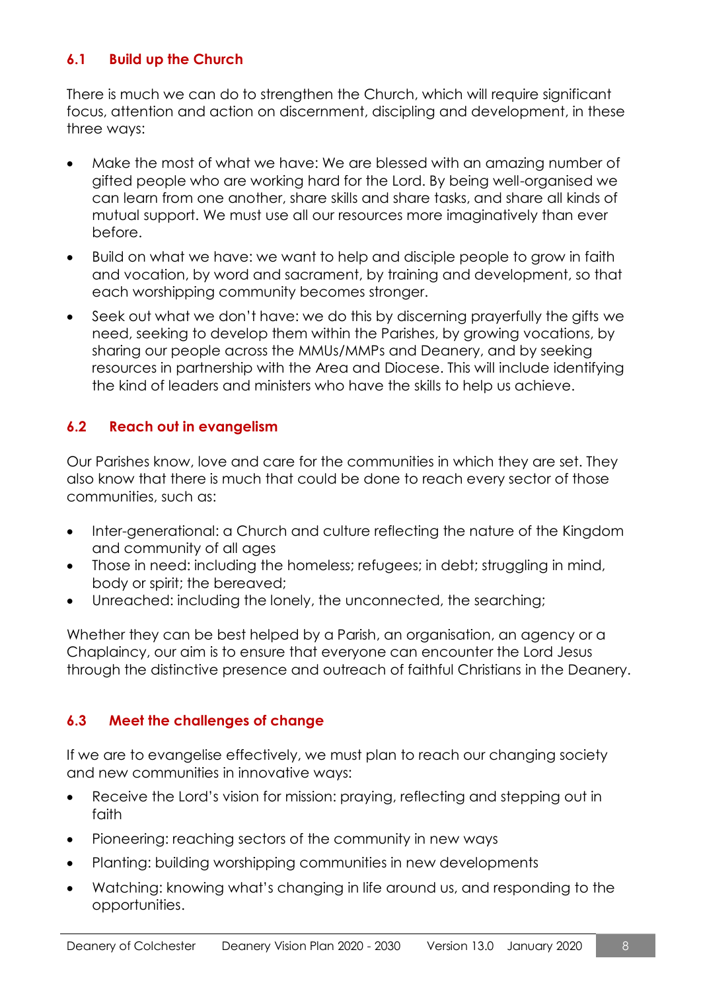#### <span id="page-7-0"></span>**6.1 Build up the Church**

There is much we can do to strengthen the Church, which will require significant focus, attention and action on discernment, discipling and development, in these three ways:

- Make the most of what we have: We are blessed with an amazing number of gifted people who are working hard for the Lord. By being well-organised we can learn from one another, share skills and share tasks, and share all kinds of mutual support. We must use all our resources more imaginatively than ever before.
- Build on what we have: we want to help and disciple people to grow in faith and vocation, by word and sacrament, by training and development, so that each worshipping community becomes stronger.
- Seek out what we don't have: we do this by discerning prayerfully the gifts we need, seeking to develop them within the Parishes, by growing vocations, by sharing our people across the MMUs/MMPs and Deanery, and by seeking resources in partnership with the Area and Diocese. This will include identifying the kind of leaders and ministers who have the skills to help us achieve.

#### <span id="page-7-1"></span>**6.2 Reach out in evangelism**

Our Parishes know, love and care for the communities in which they are set. They also know that there is much that could be done to reach every sector of those communities, such as:

- Inter-generational: a Church and culture reflecting the nature of the Kingdom and community of all ages
- Those in need: including the homeless; refugees; in debt; struggling in mind, body or spirit; the bereaved;
- Unreached: including the lonely, the unconnected, the searching;

Whether they can be best helped by a Parish, an organisation, an agency or a Chaplaincy, our aim is to ensure that everyone can encounter the Lord Jesus through the distinctive presence and outreach of faithful Christians in the Deanery.

#### <span id="page-7-2"></span>**6.3 Meet the challenges of change**

If we are to evangelise effectively, we must plan to reach our changing society and new communities in innovative ways:

- Receive the Lord's vision for mission: praying, reflecting and stepping out in faith
- Pioneering: reaching sectors of the community in new ways
- Planting: building worshipping communities in new developments
- Watching: knowing what's changing in life around us, and responding to the opportunities.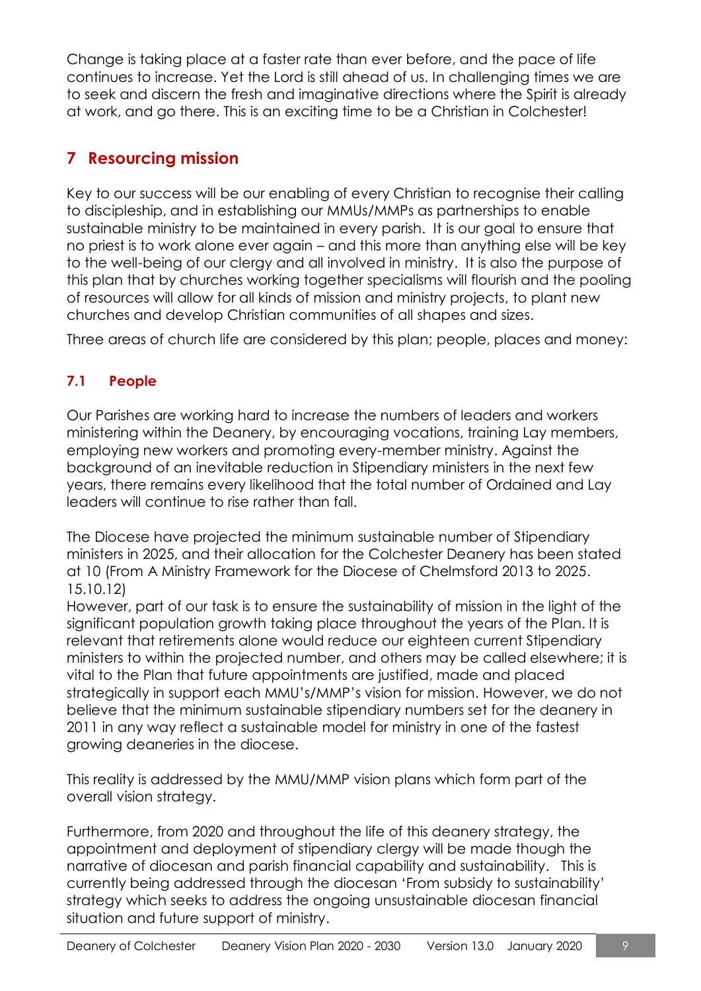Change is taking place at a faster rate than ever before, and the pace of life continues to increase. Yet the Lord is still ahead of us. In challenging times we are to seek and discern the fresh and imaginative directions where the Spirit is already at work, and go there. This is an exciting time to be a Christian in Colchester!

## <span id="page-8-0"></span>**7 Resourcing mission**

Key to our success will be our enabling of every Christian to recognise their calling to discipleship, and in establishing our MMUs/MMPs as partnerships to enable sustainable ministry to be maintained in every parish. It is our goal to ensure that no priest is to work alone ever again – and this more than anything else will be key to the well-being of our clergy and all involved in ministry. It is also the purpose of this plan that by churches working together specialisms will flourish and the pooling of resources will allow for all kinds of mission and ministry projects, to plant new churches and develop Christian communities of all shapes and sizes.

Three areas of church life are considered by this plan; people, places and money:

## <span id="page-8-1"></span>**7.1 People**

Our Parishes are working hard to increase the numbers of leaders and workers ministering within the Deanery, by encouraging vocations, training Lay members, employing new workers and promoting every-member ministry. Against the background of an inevitable reduction in Stipendiary ministers in the next few years, there remains every likelihood that the total number of Ordained and Lay leaders will continue to rise rather than fall.

The Diocese have projected the minimum sustainable number of Stipendiary ministers in 2025, and their allocation for the Colchester Deanery has been stated at 10 (From A Ministry Framework for the Diocese of Chelmsford 2013 to 2025. 15.10.12)

However, part of our task is to ensure the sustainability of mission in the light of the significant population growth taking place throughout the years of the Plan. It is relevant that retirements alone would reduce our eighteen current Stipendiary ministers to within the projected number, and others may be called elsewhere; it is vital to the Plan that future appointments are justified, made and placed strategically in support each MMU's/MMP's vision for mission. However, we do not believe that the minimum sustainable stipendiary numbers set for the deanery in 2011 in any way reflect a sustainable model for ministry in one of the fastest growing deaneries in the diocese.

This reality is addressed by the MMU/MMP vision plans which form part of the overall vision strategy.

Furthermore, from 2020 and throughout the life of this deanery strategy, the appointment and deployment of stipendiary clergy will be made though the narrative of diocesan and parish financial capability and sustainability. This is currently being addressed through the diocesan 'From subsidy to sustainability' strategy which seeks to address the ongoing unsustainable diocesan financial situation and future support of ministry.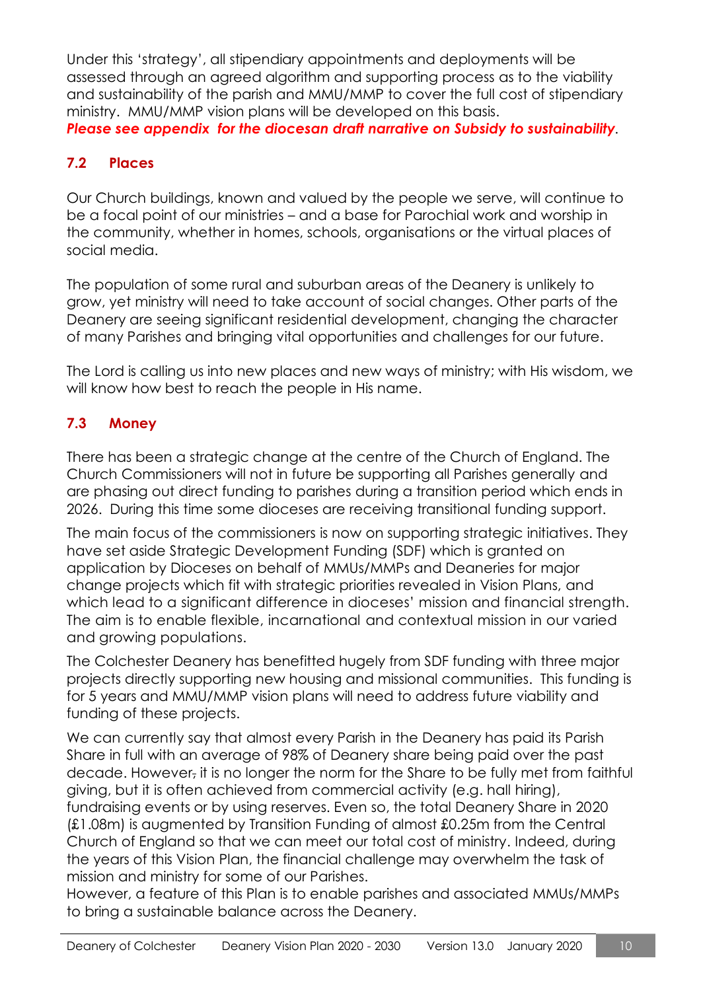Under this 'strategy', all stipendiary appointments and deployments will be assessed through an agreed algorithm and supporting process as to the viability and sustainability of the parish and MMU/MMP to cover the full cost of stipendiary ministry. MMU/MMP vision plans will be developed on this basis. *Please see appendix for the diocesan draft narrative on Subsidy to sustainability.*

#### <span id="page-9-0"></span>**7.2 Places**

Our Church buildings, known and valued by the people we serve, will continue to be a focal point of our ministries – and a base for Parochial work and worship in the community, whether in homes, schools, organisations or the virtual places of social media.

The population of some rural and suburban areas of the Deanery is unlikely to grow, yet ministry will need to take account of social changes. Other parts of the Deanery are seeing significant residential development, changing the character of many Parishes and bringing vital opportunities and challenges for our future.

The Lord is calling us into new places and new ways of ministry; with His wisdom, we will know how best to reach the people in His name.

## <span id="page-9-1"></span>**7.3 Money**

There has been a strategic change at the centre of the Church of England. The Church Commissioners will not in future be supporting all Parishes generally and are phasing out direct funding to parishes during a transition period which ends in 2026. During this time some dioceses are receiving transitional funding support.

The main focus of the commissioners is now on supporting strategic initiatives. They have set aside Strategic Development Funding (SDF) which is granted on application by Dioceses on behalf of MMUs/MMPs and Deaneries for major change projects which fit with strategic priorities revealed in Vision Plans, and which lead to a significant difference in dioceses' mission and financial strength. The aim is to enable flexible, incarnational and contextual mission in our varied and growing populations.

The Colchester Deanery has benefitted hugely from SDF funding with three major projects directly supporting new housing and missional communities. This funding is for 5 years and MMU/MMP vision plans will need to address future viability and funding of these projects.

We can currently say that almost every Parish in the Deanery has paid its Parish Share in full with an average of 98% of Deanery share being paid over the past decade. However, it is no longer the norm for the Share to be fully met from faithful giving, but it is often achieved from commercial activity (e.g. hall hiring), fundraising events or by using reserves. Even so, the total Deanery Share in 2020 (£1.08m) is augmented by Transition Funding of almost £0.25m from the Central Church of England so that we can meet our total cost of ministry. Indeed, during the years of this Vision Plan, the financial challenge may overwhelm the task of mission and ministry for some of our Parishes.

However, a feature of this Plan is to enable parishes and associated MMUs/MMPs to bring a sustainable balance across the Deanery.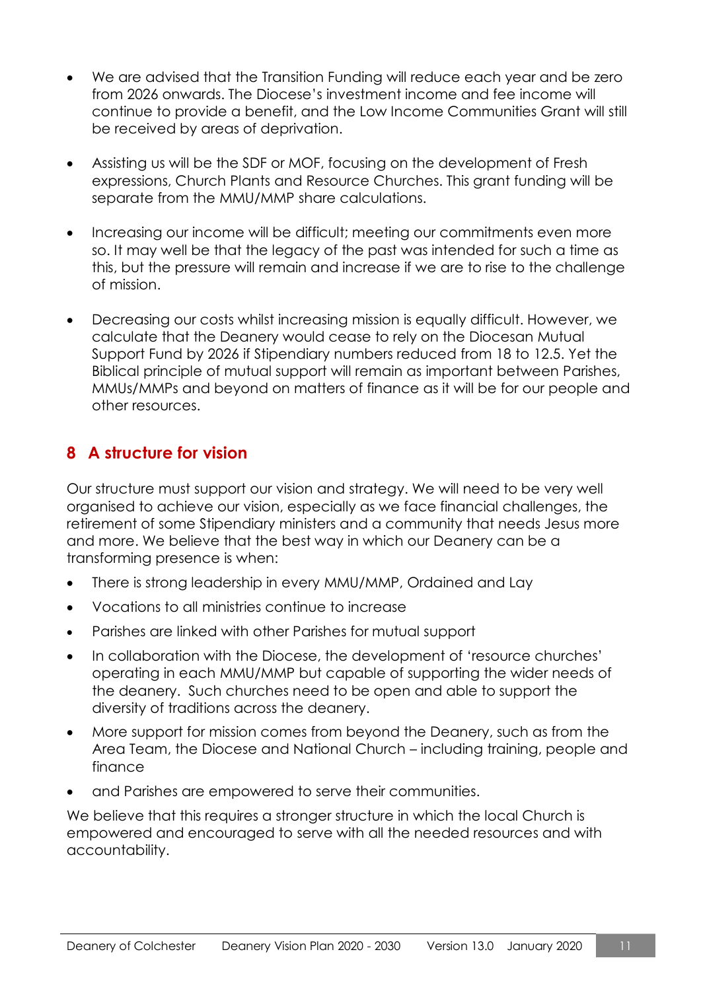- We are advised that the Transition Funding will reduce each year and be zero from 2026 onwards. The Diocese's investment income and fee income will continue to provide a benefit, and the Low Income Communities Grant will still be received by areas of deprivation.
- Assisting us will be the SDF or MOF, focusing on the development of Fresh expressions, Church Plants and Resource Churches. This grant funding will be separate from the MMU/MMP share calculations.
- Increasing our income will be difficult; meeting our commitments even more so. It may well be that the legacy of the past was intended for such a time as this, but the pressure will remain and increase if we are to rise to the challenge of mission.
- Decreasing our costs whilst increasing mission is equally difficult. However, we calculate that the Deanery would cease to rely on the Diocesan Mutual Support Fund by 2026 if Stipendiary numbers reduced from 18 to 12.5. Yet the Biblical principle of mutual support will remain as important between Parishes, MMUs/MMPs and beyond on matters of finance as it will be for our people and other resources.

## <span id="page-10-0"></span>**8 A structure for vision**

Our structure must support our vision and strategy. We will need to be very well organised to achieve our vision, especially as we face financial challenges, the retirement of some Stipendiary ministers and a community that needs Jesus more and more. We believe that the best way in which our Deanery can be a transforming presence is when:

- There is strong leadership in every MMU/MMP, Ordained and Lay
- Vocations to all ministries continue to increase
- Parishes are linked with other Parishes for mutual support
- In collaboration with the Diocese, the development of 'resource churches' operating in each MMU/MMP but capable of supporting the wider needs of the deanery. Such churches need to be open and able to support the diversity of traditions across the deanery.
- More support for mission comes from beyond the Deanery, such as from the Area Team, the Diocese and National Church – including training, people and finance
- and Parishes are empowered to serve their communities.

<span id="page-10-1"></span>We believe that this requires a stronger structure in which the local Church is empowered and encouraged to serve with all the needed resources and with accountability.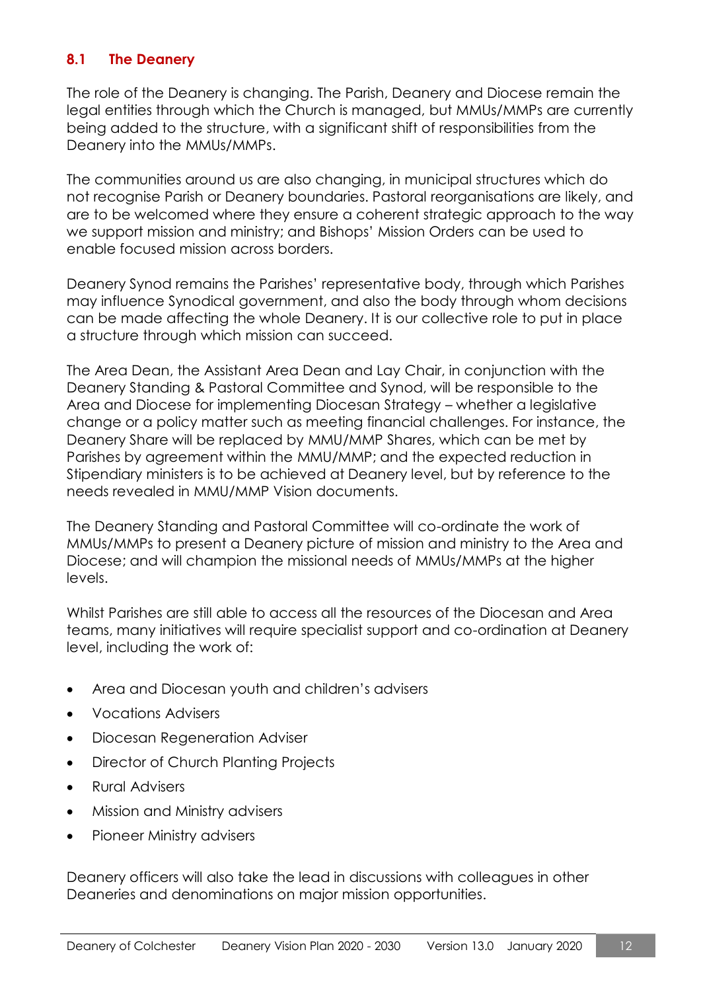#### **8.1 The Deanery**

The role of the Deanery is changing. The Parish, Deanery and Diocese remain the legal entities through which the Church is managed, but MMUs/MMPs are currently being added to the structure, with a significant shift of responsibilities from the Deanery into the MMUs/MMPs.

The communities around us are also changing, in municipal structures which do not recognise Parish or Deanery boundaries. Pastoral reorganisations are likely, and are to be welcomed where they ensure a coherent strategic approach to the way we support mission and ministry; and Bishops' Mission Orders can be used to enable focused mission across borders.

Deanery Synod remains the Parishes' representative body, through which Parishes may influence Synodical government, and also the body through whom decisions can be made affecting the whole Deanery. It is our collective role to put in place a structure through which mission can succeed.

The Area Dean, the Assistant Area Dean and Lay Chair, in conjunction with the Deanery Standing & Pastoral Committee and Synod, will be responsible to the Area and Diocese for implementing Diocesan Strategy – whether a legislative change or a policy matter such as meeting financial challenges. For instance, the Deanery Share will be replaced by MMU/MMP Shares, which can be met by Parishes by agreement within the MMU/MMP; and the expected reduction in Stipendiary ministers is to be achieved at Deanery level, but by reference to the needs revealed in MMU/MMP Vision documents.

The Deanery Standing and Pastoral Committee will co-ordinate the work of MMUs/MMPs to present a Deanery picture of mission and ministry to the Area and Diocese; and will champion the missional needs of MMUs/MMPs at the higher levels.

Whilst Parishes are still able to access all the resources of the Diocesan and Area teams, many initiatives will require specialist support and co-ordination at Deanery level, including the work of:

- Area and Diocesan youth and children's advisers
- Vocations Advisers
- Diocesan Regeneration Adviser
- Director of Church Planting Projects
- Rural Advisers
- Mission and Ministry advisers
- Pioneer Ministry advisers

Deanery officers will also take the lead in discussions with colleagues in other Deaneries and denominations on major mission opportunities.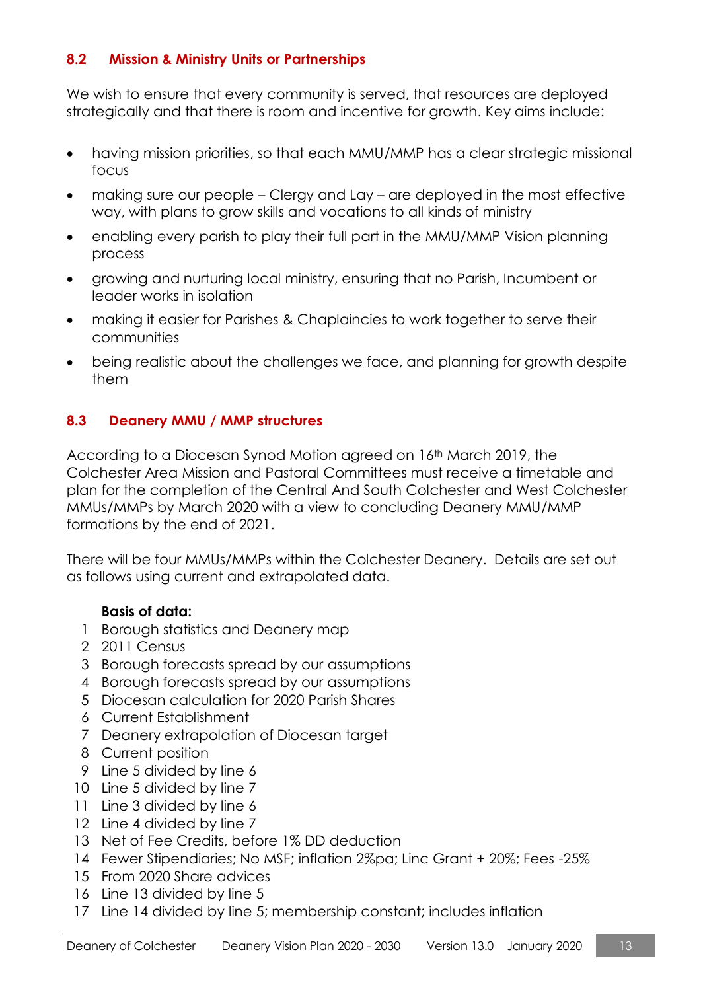#### <span id="page-12-0"></span>**8.2 Mission & Ministry Units or Partnerships**

We wish to ensure that every community is served, that resources are deployed strategically and that there is room and incentive for growth. Key aims include:

- having mission priorities, so that each MMU/MMP has a clear strategic missional focus
- making sure our people Clergy and Lay are deployed in the most effective way, with plans to grow skills and vocations to all kinds of ministry
- enabling every parish to play their full part in the MMU/MMP Vision planning process
- growing and nurturing local ministry, ensuring that no Parish, Incumbent or leader works in isolation
- making it easier for Parishes & Chaplaincies to work together to serve their communities
- being realistic about the challenges we face, and planning for growth despite them

#### <span id="page-12-1"></span>**8.3 Deanery MMU / MMP structures**

According to a Diocesan Synod Motion agreed on 16<sup>th</sup> March 2019, the Colchester Area Mission and Pastoral Committees must receive a timetable and plan for the completion of the Central And South Colchester and West Colchester MMUs/MMPs by March 2020 with a view to concluding Deanery MMU/MMP formations by the end of 2021.

There will be four MMUs/MMPs within the Colchester Deanery. Details are set out as follows using current and extrapolated data.

#### **Basis of data:**

- 1 Borough statistics and Deanery map
- 2 2011 Census
- 3 Borough forecasts spread by our assumptions
- 4 Borough forecasts spread by our assumptions
- 5 Diocesan calculation for 2020 Parish Shares
- 6 Current Establishment
- 7 Deanery extrapolation of Diocesan target
- 8 Current position
- 9 Line 5 divided by line 6
- 10 Line 5 divided by line 7
- 11 Line 3 divided by line 6
- 12 Line 4 divided by line 7
- 13 Net of Fee Credits, before 1% DD deduction
- 14 Fewer Stipendiaries; No MSF; inflation 2%pa; Linc Grant + 20%; Fees -25%
- 15 From 2020 Share advices
- 16 Line 13 divided by line 5
- 17 Line 14 divided by line 5; membership constant; includes inflation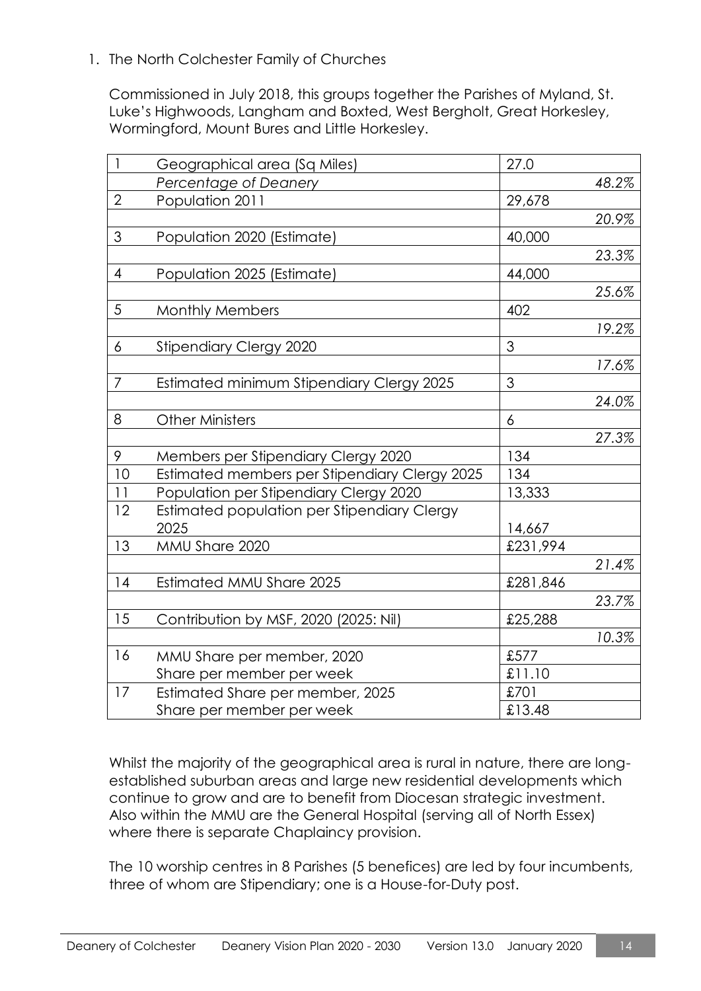#### 1. The North Colchester Family of Churches

Commissioned in July 2018, this groups together the Parishes of Myland, St. Luke's Highwoods, Langham and Boxted, West Bergholt, Great Horkesley, Wormingford, Mount Bures and Little Horkesley.

| 1              | Geographical area (Sq Miles)                  | 27.0     |       |
|----------------|-----------------------------------------------|----------|-------|
|                | Percentage of Deanery                         |          | 48.2% |
| $\overline{2}$ | Population 2011                               | 29,678   |       |
|                |                                               |          | 20.9% |
| 3              | Population 2020 (Estimate)                    | 40,000   |       |
|                |                                               |          | 23.3% |
| $\overline{4}$ | Population 2025 (Estimate)                    | 44,000   |       |
|                |                                               |          | 25.6% |
| $\overline{5}$ | Monthly Members                               | 402      |       |
|                |                                               |          | 19.2% |
| 6              | <b>Stipendiary Clergy 2020</b>                | 3        |       |
|                |                                               |          | 17.6% |
| $\overline{7}$ | Estimated minimum Stipendiary Clergy 2025     | 3        |       |
|                |                                               |          | 24.0% |
| 8              | <b>Other Ministers</b>                        | 6        |       |
|                |                                               |          | 27.3% |
| 9              | Members per Stipendiary Clergy 2020           | 134      |       |
| 10             | Estimated members per Stipendiary Clergy 2025 | 134      |       |
| 11             | Population per Stipendiary Clergy 2020        | 13,333   |       |
| 12             | Estimated population per Stipendiary Clergy   |          |       |
|                | 2025                                          | 14,667   |       |
| 13             | MMU Share 2020                                | £231,994 |       |
|                |                                               |          | 21.4% |
| 14             | Estimated MMU Share 2025                      | £281,846 |       |
|                |                                               |          | 23.7% |
| 15             | Contribution by MSF, 2020 (2025: Nil)         | £25,288  |       |
|                |                                               |          | 10.3% |
| 16             | MMU Share per member, 2020                    | £577     |       |
|                | Share per member per week                     | £11.10   |       |
| 17             | Estimated Share per member, 2025              | £701     |       |
|                | Share per member per week                     | £13.48   |       |

Whilst the majority of the geographical area is rural in nature, there are longestablished suburban areas and large new residential developments which continue to grow and are to benefit from Diocesan strategic investment. Also within the MMU are the General Hospital (serving all of North Essex) where there is separate Chaplaincy provision.

The 10 worship centres in 8 Parishes (5 benefices) are led by four incumbents, three of whom are Stipendiary; one is a House-for-Duty post.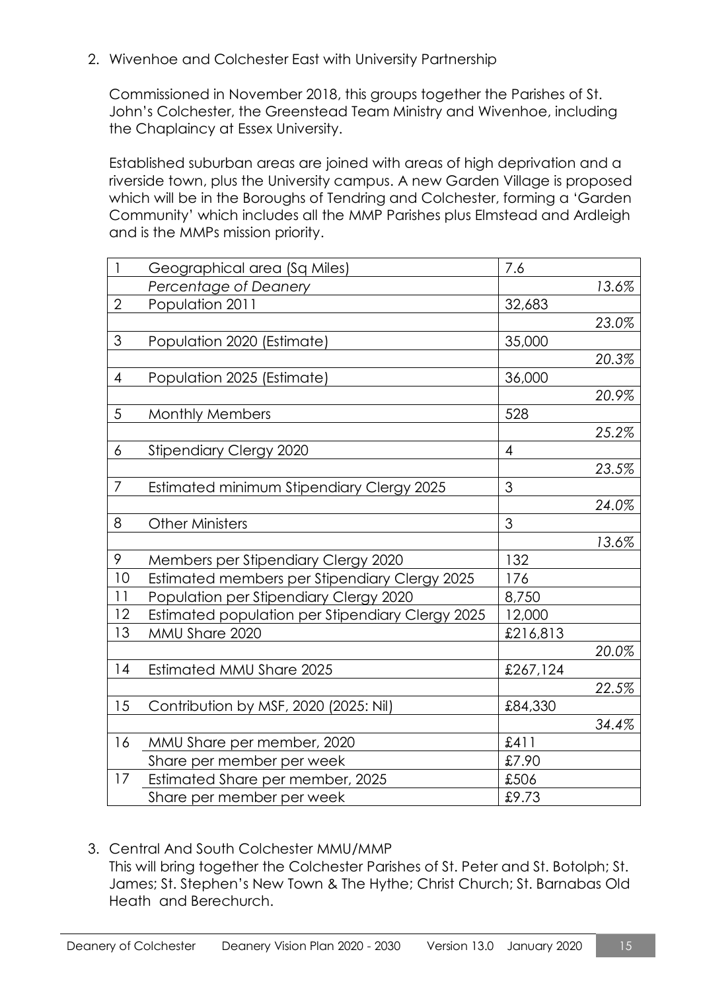2. Wivenhoe and Colchester East with University Partnership

Commissioned in November 2018, this groups together the Parishes of St. John's Colchester, the Greenstead Team Ministry and Wivenhoe, including the Chaplaincy at Essex University.

Established suburban areas are joined with areas of high deprivation and a riverside town, plus the University campus. A new Garden Village is proposed which will be in the Boroughs of Tendring and Colchester, forming a 'Garden' Community' which includes all the MMP Parishes plus Elmstead and Ardleigh and is the MMPs mission priority.

| $\mathbf{1}$   | Geographical area (Sq Miles)                     | 7.6            |       |
|----------------|--------------------------------------------------|----------------|-------|
|                | Percentage of Deanery                            |                | 13.6% |
| $\overline{2}$ | Population 2011                                  | 32,683         |       |
|                |                                                  |                | 23.0% |
| $\mathfrak 3$  | Population 2020 (Estimate)                       | 35,000         |       |
|                |                                                  |                | 20.3% |
| 4              | Population 2025 (Estimate)                       | 36,000         |       |
|                |                                                  |                | 20.9% |
| 5              | <b>Monthly Members</b>                           | 528            |       |
|                |                                                  |                | 25.2% |
| 6              | <b>Stipendiary Clergy 2020</b>                   | $\overline{4}$ |       |
|                |                                                  |                | 23.5% |
| $\overline{7}$ | Estimated minimum Stipendiary Clergy 2025        | 3              |       |
|                |                                                  |                | 24.0% |
| 8              | <b>Other Ministers</b>                           | 3              |       |
|                |                                                  |                | 13.6% |
| 9              | Members per Stipendiary Clergy 2020              | 132            |       |
| 10             | Estimated members per Stipendiary Clergy 2025    | 176            |       |
| 11             | Population per Stipendiary Clergy 2020           | 8,750          |       |
| 12             | Estimated population per Stipendiary Clergy 2025 | 12,000         |       |
| 13             | MMU Share 2020                                   | £216,813       |       |
|                |                                                  |                | 20.0% |
| 14             | Estimated MMU Share 2025                         | £267,124       |       |
|                |                                                  |                | 22.5% |
| 15             | Contribution by MSF, 2020 (2025: Nil)            | £84,330        |       |
|                |                                                  |                | 34.4% |
| 16             | MMU Share per member, 2020                       | £411           |       |
|                | Share per member per week                        | £7.90          |       |
| 17             | Estimated Share per member, 2025                 | £506           |       |
|                | Share per member per week                        | £9.73          |       |

3. Central And South Colchester MMU/MMP This will bring together the Colchester Parishes of St. Peter and St. Botolph; St. James; St. Stephen's New Town & The Hythe; Christ Church; St. Barnabas Old Heath and Berechurch.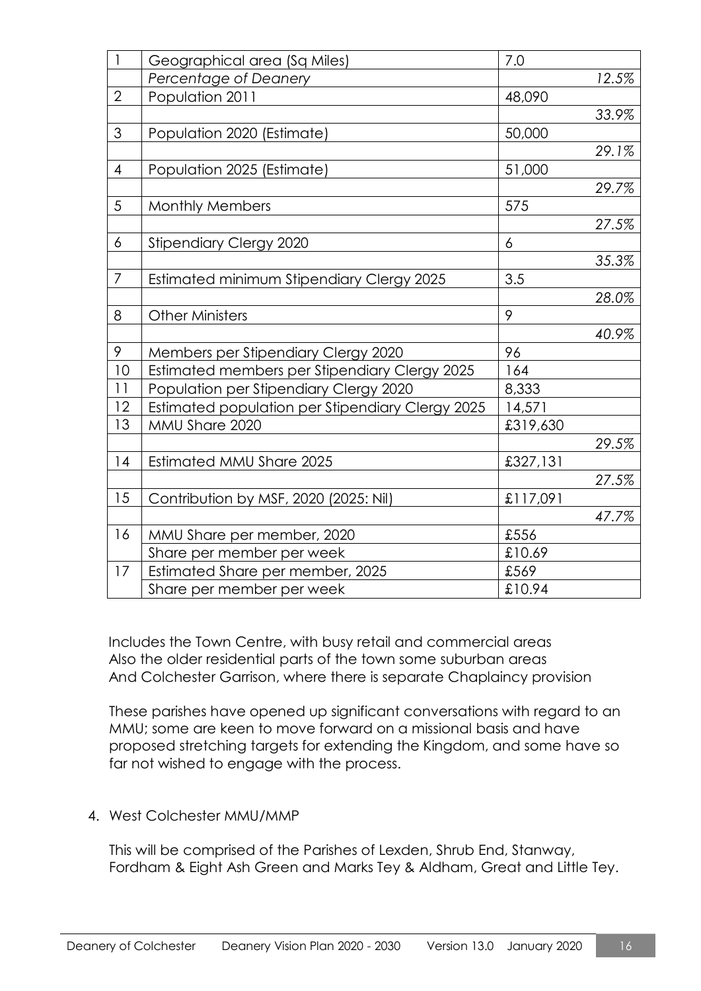| $\mathbf{1}$   | Geographical area (Sq Miles)                     | 7.0      |       |
|----------------|--------------------------------------------------|----------|-------|
|                | Percentage of Deanery                            |          | 12.5% |
| $\overline{2}$ | Population 2011                                  | 48,090   |       |
|                |                                                  |          | 33.9% |
| 3              | Population 2020 (Estimate)                       | 50,000   |       |
|                |                                                  |          | 29.1% |
| $\overline{4}$ | Population 2025 (Estimate)                       | 51,000   |       |
|                |                                                  |          | 29.7% |
| 5              | <b>Monthly Members</b>                           | 575      |       |
|                |                                                  |          | 27.5% |
| 6              | <b>Stipendiary Clergy 2020</b>                   | 6        |       |
|                |                                                  |          | 35.3% |
| $\overline{7}$ | Estimated minimum Stipendiary Clergy 2025        | 3.5      |       |
|                |                                                  |          | 28.0% |
| 8              | <b>Other Ministers</b>                           | 9        |       |
|                |                                                  |          | 40.9% |
| 9              | Members per Stipendiary Clergy 2020              | 96       |       |
| 10             | Estimated members per Stipendiary Clergy 2025    | 164      |       |
| 11             | Population per Stipendiary Clergy 2020           | 8,333    |       |
| 12             | Estimated population per Stipendiary Clergy 2025 | 14,571   |       |
| 13             | MMU Share 2020                                   | £319,630 |       |
|                |                                                  |          | 29.5% |
| 14             | Estimated MMU Share 2025                         | £327,131 |       |
|                |                                                  |          | 27.5% |
| 15             | Contribution by MSF, 2020 (2025: Nil)            | £117,091 |       |
|                |                                                  |          | 47.7% |
| 16             | MMU Share per member, 2020                       | £556     |       |
|                | Share per member per week                        | £10.69   |       |
| 17             | Estimated Share per member, 2025                 | £569     |       |
|                | Share per member per week                        | £10.94   |       |

Includes the Town Centre, with busy retail and commercial areas Also the older residential parts of the town some suburban areas And Colchester Garrison, where there is separate Chaplaincy provision

These parishes have opened up significant conversations with regard to an MMU; some are keen to move forward on a missional basis and have proposed stretching targets for extending the Kingdom, and some have so far not wished to engage with the process.

#### 4. West Colchester MMU/MMP

This will be comprised of the Parishes of Lexden, Shrub End, Stanway, Fordham & Eight Ash Green and Marks Tey & Aldham, Great and Little Tey.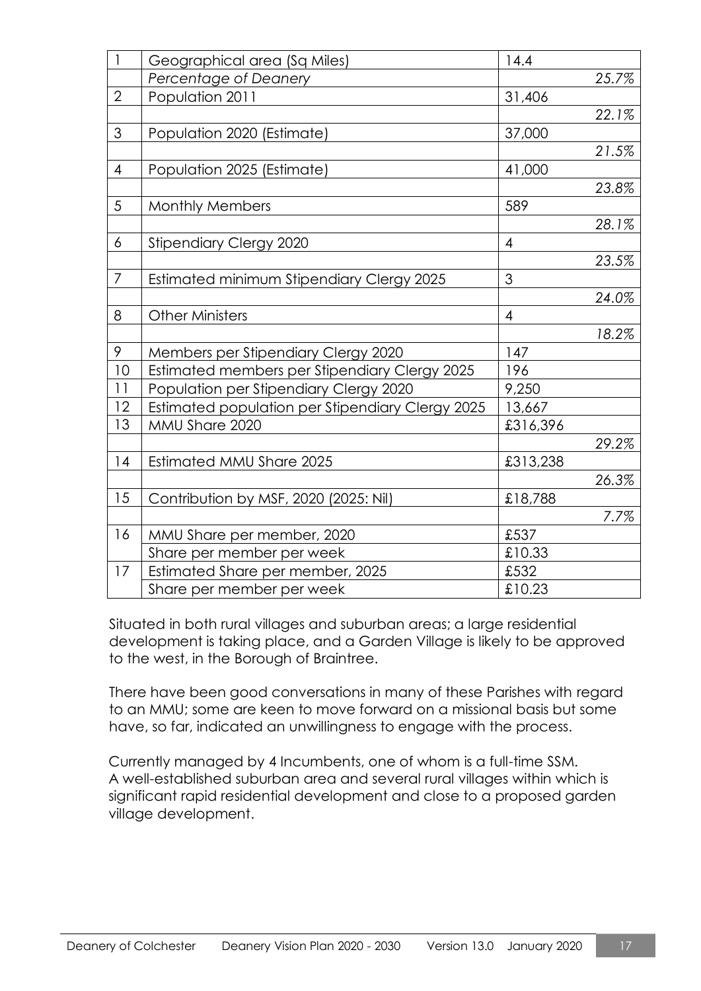| $\mathbf{1}$   | Geographical area (Sq Miles)                     | 14.4           |       |
|----------------|--------------------------------------------------|----------------|-------|
|                | Percentage of Deanery                            |                | 25.7% |
| $\overline{2}$ | Population 2011                                  | 31,406         |       |
|                |                                                  |                | 22.1% |
| 3              | Population 2020 (Estimate)                       | 37,000         |       |
|                |                                                  |                | 21.5% |
| $\overline{4}$ | Population 2025 (Estimate)                       | 41,000         |       |
|                |                                                  |                | 23.8% |
| 5              | <b>Monthly Members</b>                           | 589            |       |
|                |                                                  |                | 28.1% |
| 6              | <b>Stipendiary Clergy 2020</b>                   | $\overline{4}$ |       |
|                |                                                  |                | 23.5% |
| $\overline{7}$ | Estimated minimum Stipendiary Clergy 2025        | 3              |       |
|                |                                                  |                | 24.0% |
| 8              | <b>Other Ministers</b>                           | $\overline{4}$ |       |
|                |                                                  |                | 18.2% |
| 9              | Members per Stipendiary Clergy 2020              | 147            |       |
| 10             | Estimated members per Stipendiary Clergy 2025    | 196            |       |
| 11             | Population per Stipendiary Clergy 2020           | 9,250          |       |
| 12             | Estimated population per Stipendiary Clergy 2025 | 13,667         |       |
| 13             | MMU Share 2020                                   | £316,396       |       |
|                |                                                  |                | 29.2% |
| 14             | Estimated MMU Share 2025                         | £313,238       |       |
|                |                                                  |                | 26.3% |
| 15             | Contribution by MSF, 2020 (2025: Nil)            | £18,788        |       |
|                |                                                  |                | 7.7%  |
| 16             | MMU Share per member, 2020                       | £537           |       |
|                | Share per member per week                        | £10.33         |       |
| 17             | Estimated Share per member, 2025                 | £532           |       |
|                | Share per member per week                        | £10.23         |       |

Situated in both rural villages and suburban areas; a large residential development is taking place, and a Garden Village is likely to be approved to the west, in the Borough of Braintree.

There have been good conversations in many of these Parishes with regard to an MMU; some are keen to move forward on a missional basis but some have, so far, indicated an unwillingness to engage with the process.

Currently managed by 4 Incumbents, one of whom is a full-time SSM. A well-established suburban area and several rural villages within which is significant rapid residential development and close to a proposed garden village development.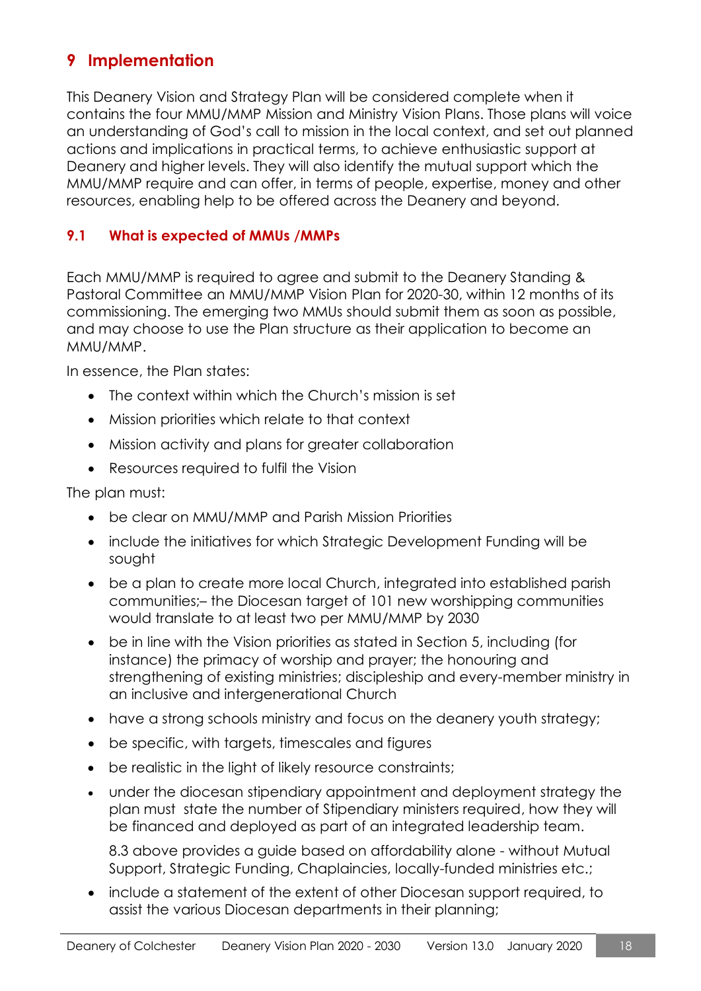## <span id="page-17-0"></span>**9 Implementation**

This Deanery Vision and Strategy Plan will be considered complete when it contains the four MMU/MMP Mission and Ministry Vision Plans. Those plans will voice an understanding of God's call to mission in the local context, and set out planned actions and implications in practical terms, to achieve enthusiastic support at Deanery and higher levels. They will also identify the mutual support which the MMU/MMP require and can offer, in terms of people, expertise, money and other resources, enabling help to be offered across the Deanery and beyond.

#### <span id="page-17-1"></span>**9.1 What is expected of MMUs /MMPs**

Each MMU/MMP is required to agree and submit to the Deanery Standing & Pastoral Committee an MMU/MMP Vision Plan for 2020-30, within 12 months of its commissioning. The emerging two MMUs should submit them as soon as possible, and may choose to use the Plan structure as their application to become an MMU/MMP.

In essence, the Plan states:

- The context within which the Church's mission is set
- Mission priorities which relate to that context
- Mission activity and plans for greater collaboration
- Resources required to fulfil the Vision

The plan must:

- be clear on MMU/MMP and Parish Mission Priorities
- include the initiatives for which Strategic Development Funding will be sought
- be a plan to create more local Church, integrated into established parish communities;– the Diocesan target of 101 new worshipping communities would translate to at least two per MMU/MMP by 2030
- be in line with the Vision priorities as stated in Section 5, including (for instance) the primacy of worship and prayer; the honouring and strengthening of existing ministries; discipleship and every-member ministry in an inclusive and intergenerational Church
- have a strong schools ministry and focus on the deanery youth strategy;
- be specific, with targets, timescales and figures
- be realistic in the light of likely resource constraints;
- under the diocesan stipendiary appointment and deployment strategy the plan must state the number of Stipendiary ministers required, how they will be financed and deployed as part of an integrated leadership team.

8.3 above provides a guide based on affordability alone - without Mutual Support, Strategic Funding, Chaplaincies, locally-funded ministries etc.;

 include a statement of the extent of other Diocesan support required, to assist the various Diocesan departments in their planning;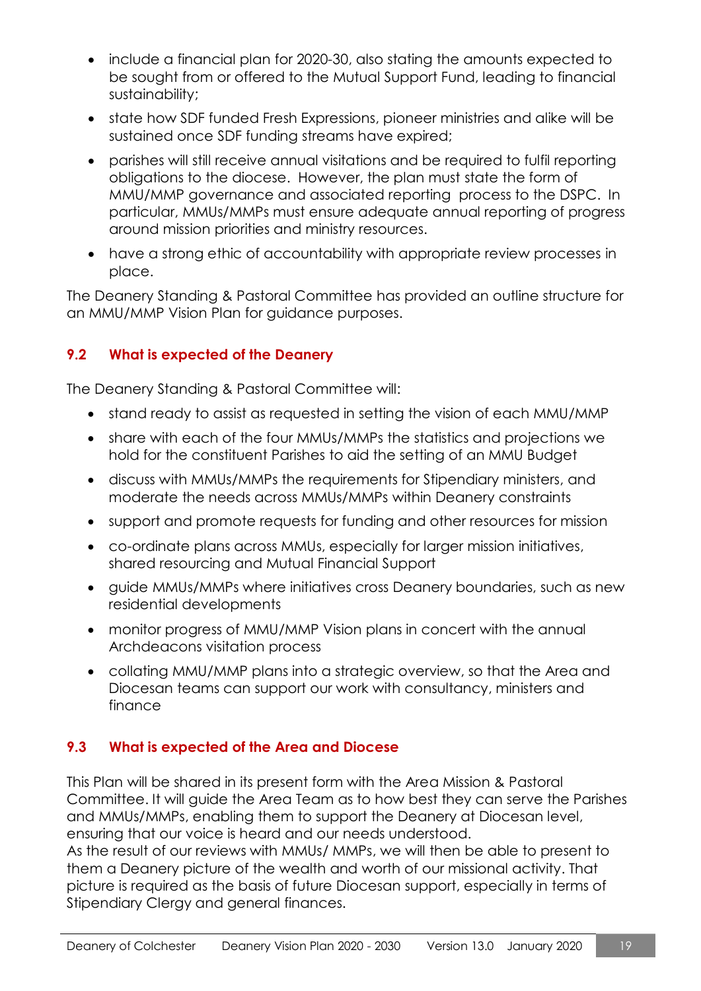- include a financial plan for 2020-30, also stating the amounts expected to be sought from or offered to the Mutual Support Fund, leading to financial sustainability;
- state how SDF funded Fresh Expressions, pioneer ministries and alike will be sustained once SDF funding streams have expired;
- parishes will still receive annual visitations and be required to fulfil reporting obligations to the diocese. However, the plan must state the form of MMU/MMP governance and associated reporting process to the DSPC. In particular, MMUs/MMPs must ensure adequate annual reporting of progress around mission priorities and ministry resources.
- have a strong ethic of accountability with appropriate review processes in place.

The Deanery Standing & Pastoral Committee has provided an outline structure for an MMU/MMP Vision Plan for guidance purposes.

#### <span id="page-18-0"></span>**9.2 What is expected of the Deanery**

The Deanery Standing & Pastoral Committee will:

- stand ready to assist as requested in setting the vision of each MMU/MMP
- share with each of the four MMUs/MMPs the statistics and projections we hold for the constituent Parishes to aid the setting of an MMU Budget
- discuss with MMUs/MMPs the requirements for Stipendiary ministers, and moderate the needs across MMUs/MMPs within Deanery constraints
- support and promote requests for funding and other resources for mission
- co-ordinate plans across MMUs, especially for larger mission initiatives, shared resourcing and Mutual Financial Support
- guide MMUs/MMPs where initiatives cross Deanery boundaries, such as new residential developments
- monitor progress of MMU/MMP Vision plans in concert with the annual Archdeacons visitation process
- collating MMU/MMP plans into a strategic overview, so that the Area and Diocesan teams can support our work with consultancy, ministers and finance

#### <span id="page-18-1"></span>**9.3 What is expected of the Area and Diocese**

This Plan will be shared in its present form with the Area Mission & Pastoral Committee. It will guide the Area Team as to how best they can serve the Parishes and MMUs/MMPs, enabling them to support the Deanery at Diocesan level, ensuring that our voice is heard and our needs understood.

As the result of our reviews with MMUs/ MMPs, we will then be able to present to them a Deanery picture of the wealth and worth of our missional activity. That picture is required as the basis of future Diocesan support, especially in terms of Stipendiary Clergy and general finances.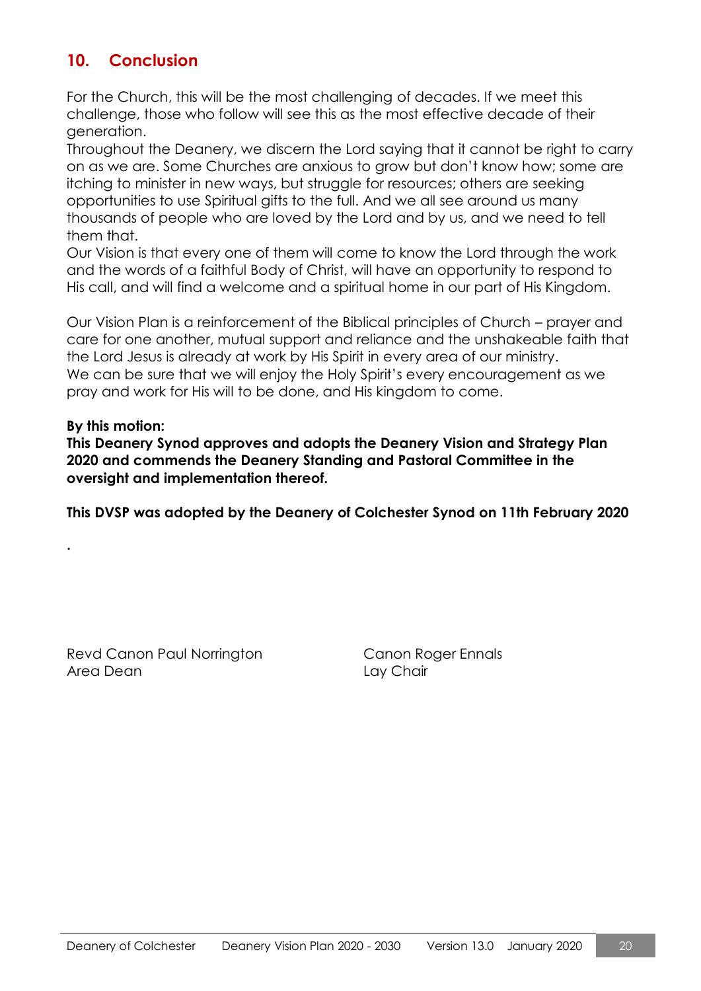## <span id="page-19-0"></span>**10. Conclusion**

For the Church, this will be the most challenging of decades. If we meet this challenge, those who follow will see this as the most effective decade of their generation.

Throughout the Deanery, we discern the Lord saying that it cannot be right to carry on as we are. Some Churches are anxious to grow but don't know how; some are itching to minister in new ways, but struggle for resources; others are seeking opportunities to use Spiritual gifts to the full. And we all see around us many thousands of people who are loved by the Lord and by us, and we need to tell them that.

Our Vision is that every one of them will come to know the Lord through the work and the words of a faithful Body of Christ, will have an opportunity to respond to His call, and will find a welcome and a spiritual home in our part of His Kingdom.

Our Vision Plan is a reinforcement of the Biblical principles of Church – prayer and care for one another, mutual support and reliance and the unshakeable faith that the Lord Jesus is already at work by His Spirit in every area of our ministry. We can be sure that we will enjoy the Holy Spirit's every encouragement as we pray and work for His will to be done, and His kingdom to come.

#### **By this motion:**

*.*

**This Deanery Synod approves and adopts the Deanery Vision and Strategy Plan 2020 and commends the Deanery Standing and Pastoral Committee in the oversight and implementation thereof.** 

**This DVSP was adopted by the Deanery of Colchester Synod on 11th February 2020**

Revd Canon Paul Norrington Canon Roger Ennals Area Dean **Lay Chair**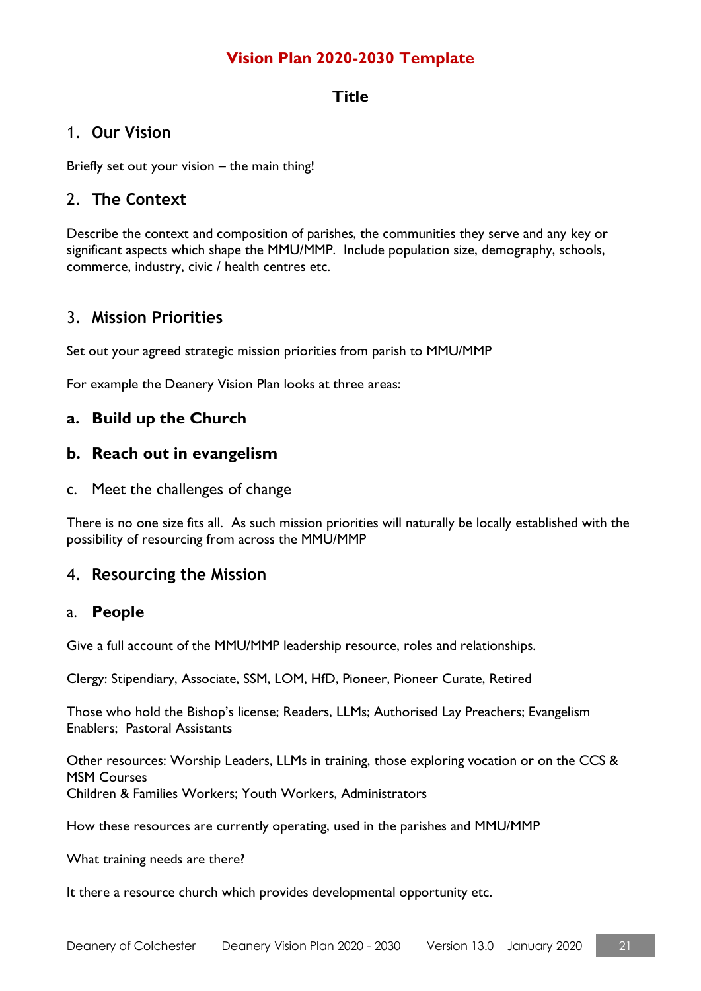#### **Vision Plan 2020-2030 Template**

#### **Title**

#### 1. **Our Vision**

Briefly set out your vision – the main thing!

#### 2. **The Context**

Describe the context and composition of parishes, the communities they serve and any key or significant aspects which shape the MMU/MMP. Include population size, demography, schools, commerce, industry, civic / health centres etc.

#### 3. **Mission Priorities**

Set out your agreed strategic mission priorities from parish to MMU/MMP

For example the Deanery Vision Plan looks at three areas:

#### **a. Build up the Church**

#### **b. Reach out in evangelism**

c. Meet the challenges of change

There is no one size fits all. As such mission priorities will naturally be locally established with the possibility of resourcing from across the MMU/MMP

#### 4. **Resourcing the Mission**

#### a. **People**

Give a full account of the MMU/MMP leadership resource, roles and relationships.

Clergy: Stipendiary, Associate, SSM, LOM, HfD, Pioneer, Pioneer Curate, Retired

Those who hold the Bishop's license; Readers, LLMs; Authorised Lay Preachers; Evangelism Enablers; Pastoral Assistants

Other resources: Worship Leaders, LLMs in training, those exploring vocation or on the CCS & MSM Courses Children & Families Workers; Youth Workers, Administrators

How these resources are currently operating, used in the parishes and MMU/MMP

What training needs are there?

It there a resource church which provides developmental opportunity etc.